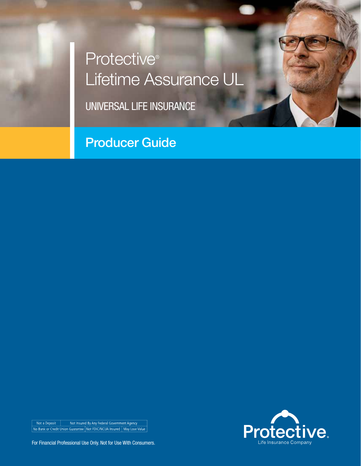# Protective<sup>®</sup> Lifetime Assurance UL

UNIVERSAL LIFE INSURANCE

Producer Guide



Not a Deposit Not Insured By Any Federal Government Agency<br>No Bank or Credit Union Guarantee Not FDIC/NCUA Insured Nay Lose Value

For Financial Professional Use Only. Not for Use With Consumers.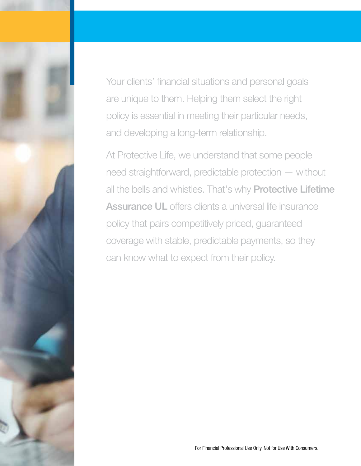Your clients' financial situations and personal goals are unique to them. Helping them select the right policy is essential in meeting their particular needs, and developing a long-term relationship.

At Protective Life, we understand that some people need straightforward, predictable protection — without all the bells and whistles. That's why **Protective Lifetime** Assurance UL offers clients a universal life insurance policy that pairs competitively priced, guaranteed coverage with stable, predictable payments, so they can know what to expect from their policy.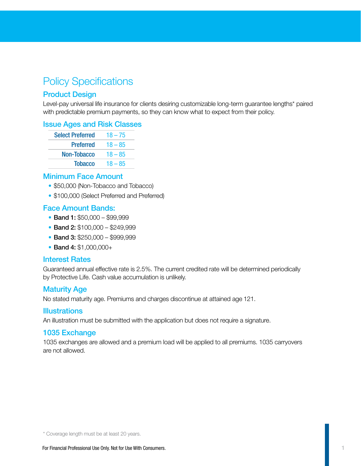### Policy Specifications

### Product Design

Level-pay universal life insurance for clients desiring customizable long-term guarantee lengths\* paired with predictable premium payments, so they can know what to expect from their policy.

#### Issue Ages and Risk Classes

| <b>Select Preferred</b> | $18 - 75$ |
|-------------------------|-----------|
| <b>Preferred</b>        | $18 - 85$ |
| <b>Non-Tobacco</b>      | $18 - 85$ |
| <b>Tobacco</b>          | $18 - 85$ |

#### Minimum Face Amount

- \$50,000 (Non-Tobacco and Tobacco)
- \$100,000 (Select Preferred and Preferred)

### Face Amount Bands:

- Band 1: \$50,000 \$99,999
- Band 2: \$100,000 \$249,999
- Band 3: \$250,000 \$999,999
- Band 4: \$1,000,000+

#### Interest Rates

Guaranteed annual effective rate is 2.5%. The current credited rate will be determined periodically by Protective Life. Cash value accumulation is unlikely.

### Maturity Age

No stated maturity age. Premiums and charges discontinue at attained age 121.

#### **Illustrations**

An illustration must be submitted with the application but does not require a signature.

#### 1035 Exchange

1035 exchanges are allowed and a premium load will be applied to all premiums. 1035 carryovers are not allowed.

\* Coverage length must be at least 20 years.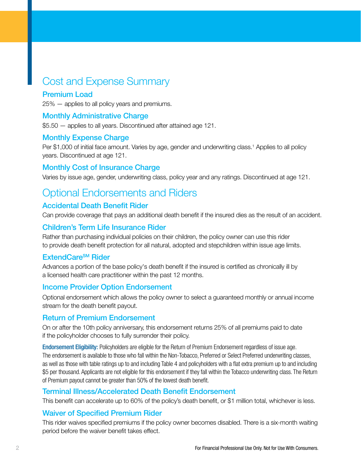### Cost and Expense Summary

### Premium Load

25% — applies to all policy years and premiums.

### Monthly Administrative Charge

\$5.50 — applies to all years. Discontinued after attained age 121.

### Monthly Expense Charge

Per \$1,000 of initial face amount. Varies by age, gender and underwriting class.<sup>1</sup> Applies to all policy years. Discontinued at age 121.

### Monthly Cost of Insurance Charge

Varies by issue age, gender, underwriting class, policy year and any ratings. Discontinued at age 121.

### Optional Endorsements and Riders

### Accidental Death Benefit Rider

Can provide coverage that pays an additional death benefit if the insured dies as the result of an accident.

### Children's Term Life Insurance Rider

Rather than purchasing individual policies on their children, the policy owner can use this rider to provide death benefit protection for all natural, adopted and stepchildren within issue age limits.

### **ExtendCare<sup>SM</sup> Rider**

Advances a portion of the base policy's death benefit if the insured is certified as chronically ill by a licensed health care practitioner within the past 12 months.

### Income Provider Option Endorsement

Optional endorsement which allows the policy owner to select a guaranteed monthly or annual income stream for the death benefit payout.

### Return of Premium Endorsement

On or after the 10th policy anniversary, this endorsement returns 25% of all premiums paid to date if the policyholder chooses to fully surrender their policy.

Endorsement Eligibility: Policyholders are eligible for the Return of Premium Endorsement regardless of issue age. The endorsement is available to those who fall within the Non-Tobacco, Preferred or Select Preferred underwriting classes, as well as those with table ratings up to and including Table 4 and policyholders with a flat extra premium up to and including \$5 per thousand. Applicants are not eligible for this endorsement if they fall within the Tobacco underwriting class. The Return of Premium payout cannot be greater than 50% of the lowest death benefit.

### Terminal Illness/Accelerated Death Benefit Endorsement

This benefit can accelerate up to 60% of the policy's death benefit, or \$1 million total, whichever is less.

### Waiver of Specified Premium Rider

This rider waives specified premiums if the policy owner becomes disabled. There is a six-month waiting period before the waiver benefit takes effect.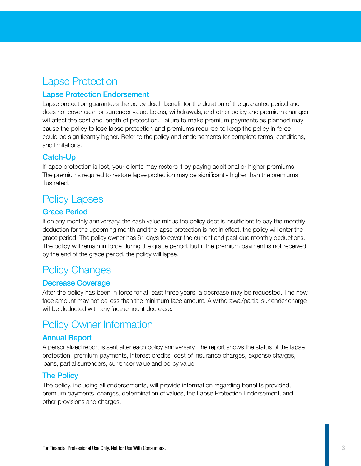### Lapse Protection

### Lapse Protection Endorsement

Lapse protection guarantees the policy death benefit for the duration of the guarantee period and does not cover cash or surrender value. Loans, withdrawals, and other policy and premium changes will affect the cost and length of protection. Failure to make premium payments as planned may cause the policy to lose lapse protection and premiums required to keep the policy in force could be significantly higher. Refer to the policy and endorsements for complete terms, conditions, and limitations.

### Catch-Up

If lapse protection is lost, your clients may restore it by paying additional or higher premiums. The premiums required to restore lapse protection may be significantly higher than the premiums illustrated.

### Policy Lapses

### Grace Period

If on any monthly anniversary, the cash value minus the policy debt is insufficient to pay the monthly deduction for the upcoming month and the lapse protection is not in effect, the policy will enter the grace period. The policy owner has 61 days to cover the current and past due monthly deductions. The policy will remain in force during the grace period, but if the premium payment is not received by the end of the grace period, the policy will lapse.

### Policy Changes

### Decrease Coverage

After the policy has been in force for at least three years, a decrease may be requested. The new face amount may not be less than the minimum face amount. A withdrawal/partial surrender charge will be deducted with any face amount decrease.

### Policy Owner Information

### Annual Report

A personalized report is sent after each policy anniversary. The report shows the status of the lapse protection, premium payments, interest credits, cost of insurance charges, expense charges, loans, partial surrenders, surrender value and policy value.

### The Policy

The policy, including all endorsements, will provide information regarding benefits provided, premium payments, charges, determination of values, the Lapse Protection Endorsement, and other provisions and charges.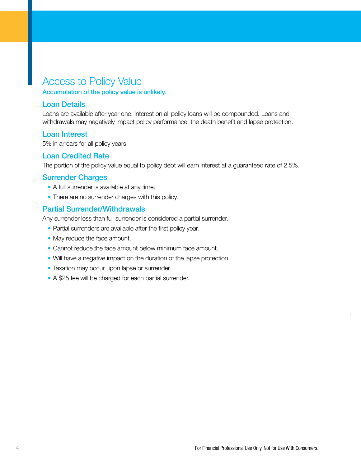### Access to Policy Value

Accumulation of the policy value is unlikely.

### Loan Details

Loans are available after year one. Interest on all policy loans will be compounded. Loans and withdrawals may negatively impact policy performance, the death benefit and lapse protection.

#### Loan Interest

5% in arrears for all policy years.

### Loan Credited Rate

The portion of the policy value equal to policy debt will earn interest at a guaranteed rate of 2.5%.

### Surrender Charges

- A full surrender is available at any time.
- There are no surrender charges with this policy.

### Partial Surrender/Withdrawals

Any surrender less than full surrender is considered a partial surrender.

- Partial surrenders are available after the first policy year.
- May reduce the face amount.
- Cannot reduce the face amount below minimum face amount.
- Will have a negative impact on the duration of the lapse protection.
- Taxation may occur upon lapse or surrender.
- A \$25 fee will be charged for each partial surrender.